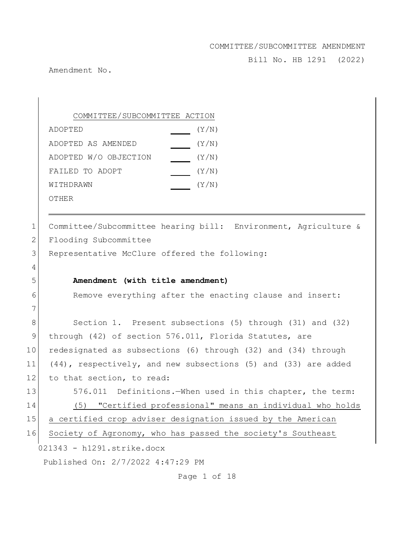Bill No. HB 1291 (2022)

Amendment No.

COMMITTEE/SUBCOMMITTEE ACTION ADOPTED(Y/N) ADOPTED AS AMENDED(Y/N) ADOPTED W/O OBJECTION (Y/N) FAILED TO ADOPT  $(Y/N)$ WITHDRAWN(Y/N)

OTHER

021343 - h1291.strike.docx Published On: 2/7/2022 4:47:29 PM Page 1 of 18 1 Committee/Subcommittee hearing bill: Environment, Agriculture & 2 Flooding Subcommittee 3 Representative McClure offered the following: 4 5 **Amendment (with title amendment)** 6 Remove everything after the enacting clause and insert: 7 8 Section 1. Present subsections (5) through (31) and (32) 9 through (42) of section 576.011, Florida Statutes, are 10 redesignated as subsections (6) through (32) and (34) through 11 (44), respectively, and new subsections (5) and (33) are added 12 to that section, to read: 13 576.011 Definitions.—When used in this chapter, the term: 14 (5) "Certified professional" means an individual who holds 15 a certified crop adviser designation issued by the American 16 Society of Agronomy, who has passed the society's Southeast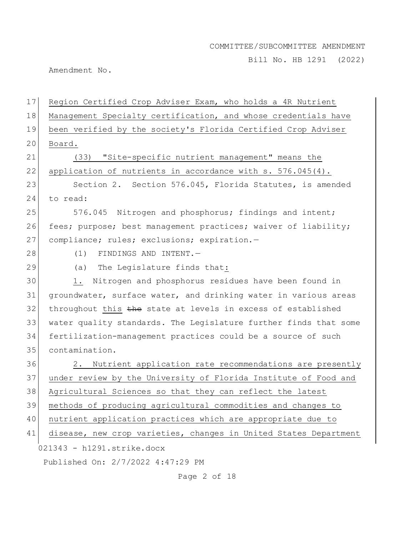Bill No. HB 1291 (2022)

Amendment No.

| 17 | Region Certified Crop Adviser Exam, who holds a 4R Nutrient      |
|----|------------------------------------------------------------------|
| 18 | Management Specialty certification, and whose credentials have   |
| 19 | been verified by the society's Florida Certified Crop Adviser    |
| 20 | Board.                                                           |
| 21 | (33) "Site-specific nutrient management" means the               |
| 22 | application of nutrients in accordance with s. 576.045(4).       |
| 23 | Section 2. Section 576.045, Florida Statutes, is amended         |
| 24 | to read:                                                         |
| 25 | 576.045 Nitrogen and phosphorus; findings and intent;            |
| 26 | fees; purpose; best management practices; waiver of liability;   |
| 27 | compliance; rules; exclusions; expiration.-                      |
| 28 | FINDINGS AND INTENT.-<br>(1)                                     |
| 29 | (a) The Legislature finds that:                                  |
| 30 | Nitrogen and phosphorus residues have been found in<br>1.        |
| 31 | groundwater, surface water, and drinking water in various areas  |
| 32 | throughout this the state at levels in excess of established     |
| 33 | water quality standards. The Legislature further finds that some |
| 34 | fertilization-management practices could be a source of such     |
| 35 | contamination.                                                   |
| 36 | Nutrient application rate recommendations are presently<br>2.    |
| 37 | under review by the University of Florida Institute of Food and  |
| 38 | Agricultural Sciences so that they can reflect the latest        |
| 39 | methods of producing agricultural commodities and changes to     |
| 40 | nutrient application practices which are appropriate due to      |
| 41 | disease, new crop varieties, changes in United States Department |
|    | 021343 - h1291.strike.docx                                       |
|    | Published On: 2/7/2022 4:47:29 PM                                |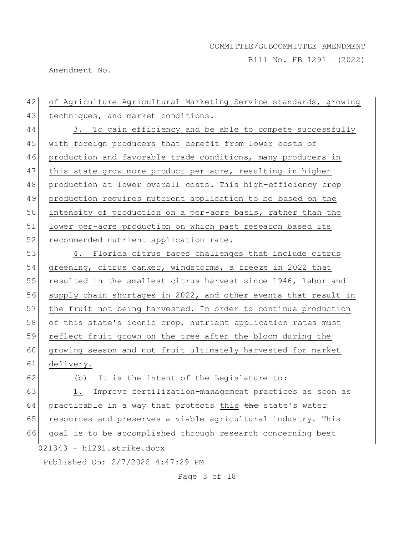Bill No. HB 1291 (2022)

Amendment No.

021343 - h1291.strike.docx Published On: 2/7/2022 4:47:29 PM Page 3 of 18 42 of Agriculture Agricultural Marketing Service standards, growing 43 techniques, and market conditions. 44 3. To gain efficiency and be able to compete successfully 45 with foreign producers that benefit from lower costs of 46 production and favorable trade conditions, many producers in 47 this state grow more product per acre, resulting in higher 48 production at lower overall costs. This high-efficiency crop 49 production requires nutrient application to be based on the 50 intensity of production on a per-acre basis, rather than the 51 lower per-acre production on which past research based its 52 recommended nutrient application rate. 53 4. Florida citrus faces challenges that include citrus 54 greening, citrus canker, windstorms, a freeze in 2022 that 55 resulted in the smallest citrus harvest since 1946, labor and 56 supply chain shortages in 2022, and other events that result in 57 the fruit not being harvested. In order to continue production 58 of this state's iconic crop, nutrient application rates must 59 reflect fruit grown on the tree after the bloom during the 60 growing season and not fruit ultimately harvested for market 61 delivery. 62 (b) It is the intent of the Legislature to: 63 1. Improve fertilization-management practices as soon as  $64$  practicable in a way that protects this the state's water 65 resources and preserves a viable agricultural industry. This 66 goal is to be accomplished through research concerning best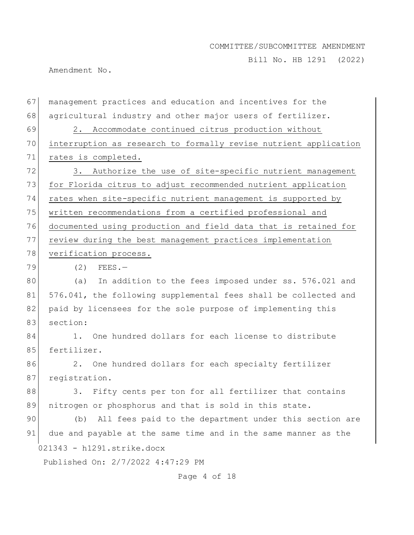Bill No. HB 1291 (2022)

Amendment No.

021343 - h1291.strike.docx Published On: 2/7/2022 4:47:29 PM 67 management practices and education and incentives for the 68 agricultural industry and other major users of fertilizer. 69 2. Accommodate continued citrus production without 70 interruption as research to formally revise nutrient application 71 rates is completed. 72 3. Authorize the use of site-specific nutrient management 73 for Florida citrus to adjust recommended nutrient application 74 rates when site-specific nutrient management is supported by 75 written recommendations from a certified professional and 76 documented using production and field data that is retained for 77 review during the best management practices implementation 78 verification process.  $79$  (2) FEES. 80 (a) In addition to the fees imposed under ss. 576.021 and 81 576.041, the following supplemental fees shall be collected and 82 paid by licensees for the sole purpose of implementing this 83 section: 84 1. One hundred dollars for each license to distribute 85 fertilizer. 86 2. One hundred dollars for each specialty fertilizer 87 registration. 88 3. Fifty cents per ton for all fertilizer that contains 89 nitrogen or phosphorus and that is sold in this state. 90 (b) All fees paid to the department under this section are 91 due and payable at the same time and in the same manner as the

Page 4 of 18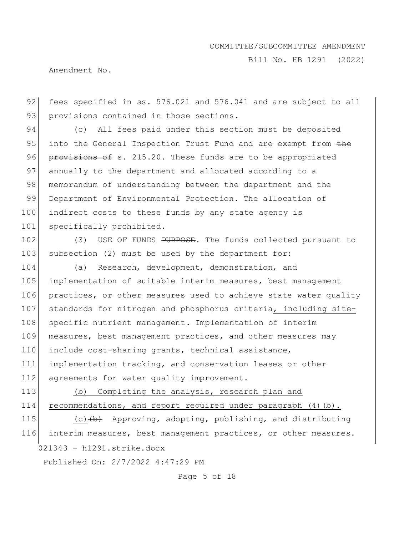Bill No. HB 1291 (2022)

Amendment No.

92 fees specified in ss. 576.021 and 576.041 and are subject to all 93 provisions contained in those sections.

94 (c) All fees paid under this section must be deposited 95 into the General Inspection Trust Fund and are exempt from the 96 provisions of s. 215.20. These funds are to be appropriated 97 annually to the department and allocated according to a 98 memorandum of understanding between the department and the 99 Department of Environmental Protection. The allocation of 100 indirect costs to these funds by any state agency is 101 specifically prohibited.

102 (3) USE OF FUNDS PURPOSE. The funds collected pursuant to 103 subsection (2) must be used by the department for:

104 (a) Research, development, demonstration, and 105 implementation of suitable interim measures, best management 106 practices, or other measures used to achieve state water quality 107 standards for nitrogen and phosphorus criteria, including site-108 specific nutrient management. Implementation of interim 109 measures, best management practices, and other measures may 110 include cost-sharing grants, technical assistance, 111 implementation tracking, and conservation leases or other 112 agreements for water quality improvement.

113 (b) Completing the analysis, research plan and 114 recommendations, and report required under paragraph (4)(b).

021343 - h1291.strike.docx 115 (c) (b) Approving, adopting, publishing, and distributing 116 interim measures, best management practices, or other measures.

Published On: 2/7/2022 4:47:29 PM

Page 5 of 18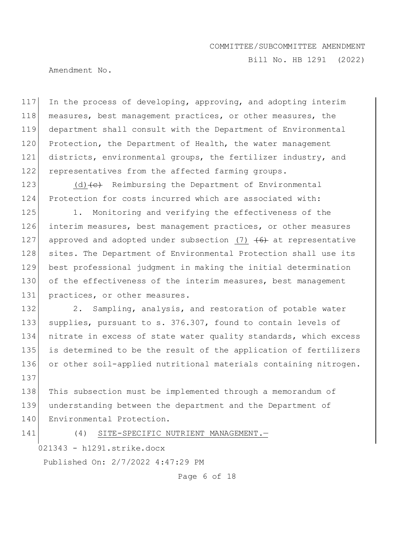Bill No. HB 1291 (2022)

Amendment No.

 In the process of developing, approving, and adopting interim measures, best management practices, or other measures, the department shall consult with the Department of Environmental 120 Protection, the Department of Health, the water management districts, environmental groups, the fertilizer industry, and 122 representatives from the affected farming groups.

123 (d) $\left\{ \left( e \right)$  Reimbursing the Department of Environmental 124 Protection for costs incurred which are associated with:

125 1. Monitoring and verifying the effectiveness of the 126 interim measures, best management practices, or other measures 127 approved and adopted under subsection (7)  $\left(6\right)$  at representative 128 sites. The Department of Environmental Protection shall use its 129 best professional judgment in making the initial determination 130 of the effectiveness of the interim measures, best management 131 practices, or other measures.

132 2. Sampling, analysis, and restoration of potable water 133 supplies, pursuant to s. 376.307, found to contain levels of 134 nitrate in excess of state water quality standards, which excess 135 is determined to be the result of the application of fertilizers 136 or other soil-applied nutritional materials containing nitrogen. 137

138 This subsection must be implemented through a memorandum of 139 understanding between the department and the Department of 140 Environmental Protection.

141 (4) SITE-SPECIFIC NUTRIENT MANAGEMENT.

021343 - h1291.strike.docx

Published On: 2/7/2022 4:47:29 PM

Page 6 of 18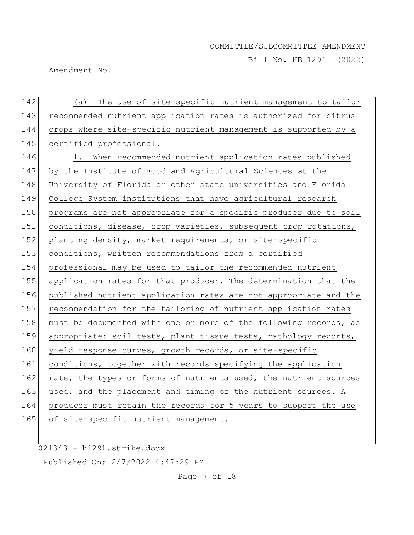Bill No. HB 1291 (2022)

Amendment No.

| 142 | (a) The use of site-specific nutrient management to tailor       |
|-----|------------------------------------------------------------------|
| 143 | recommended nutrient application rates is authorized for citrus  |
| 144 | crops where site-specific nutrient management is supported by a  |
| 145 | certified professional.                                          |
| 146 | 1. When recommended nutrient application rates published         |
| 147 | by the Institute of Food and Agricultural Sciences at the        |
| 148 | University of Florida or other state universities and Florida    |
| 149 | College System institutions that have agricultural research      |
| 150 | programs are not appropriate for a specific producer due to soil |
| 151 | conditions, disease, crop varieties, subsequent crop rotations,  |
| 152 | planting density, market requirements, or site-specific          |
| 153 | conditions, written recommendations from a certified             |
| 154 | professional may be used to tailor the recommended nutrient      |
| 155 | application rates for that producer. The determination that the  |
| 156 | published nutrient application rates are not appropriate and the |
| 157 | recommendation for the tailoring of nutrient application rates   |
| 158 | must be documented with one or more of the following records, as |
| 159 | appropriate: soil tests, plant tissue tests, pathology reports,  |
| 160 | yield response curves, growth records, or site-specific          |
| 161 | conditions, together with records specifying the application     |
| 162 | rate, the types or forms of nutrients used, the nutrient sources |
| 163 | used, and the placement and timing of the nutrient sources. A    |
| 164 | producer must retain the records for 5 years to support the use  |
| 165 | of site-specific nutrient management.                            |

021343 - h1291.strike.docx

Published On: 2/7/2022 4:47:29 PM

Page 7 of 18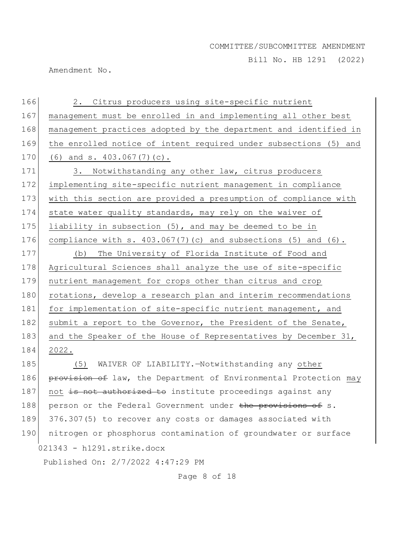Bill No. HB 1291 (2022)

Amendment No.

021343 - h1291.strike.docx Published On: 2/7/2022 4:47:29 PM 166 2. Citrus producers using site-specific nutrient 167 management must be enrolled in and implementing all other best 168 management practices adopted by the department and identified in 169 the enrolled notice of intent required under subsections (5) and 170 (6) and s. 403.067(7)(c). 171 3. Notwithstanding any other law, citrus producers 172 implementing site-specific nutrient management in compliance 173 with this section are provided a presumption of compliance with 174 state water quality standards, may rely on the waiver of 175 liability in subsection  $(5)$ , and may be deemed to be in 176 compliance with s.  $403.067(7)(c)$  and subsections (5) and (6). 177 (b) The University of Florida Institute of Food and 178 Agricultural Sciences shall analyze the use of site-specific 179 nutrient management for crops other than citrus and crop 180 rotations, develop a research plan and interim recommendations 181 for implementation of site-specific nutrient management, and 182 submit a report to the Governor, the President of the Senate, 183 and the Speaker of the House of Representatives by December 31, 184 2022. 185 (5) WAIVER OF LIABILITY. - Notwithstanding any other 186 **provision of** law, the Department of Environmental Protection may 187 not is not authorized to institute proceedings against any 188 person or the Federal Government under the provisions of s. 189 376.307(5) to recover any costs or damages associated with 190 nitrogen or phosphorus contamination of groundwater or surface

Page 8 of 18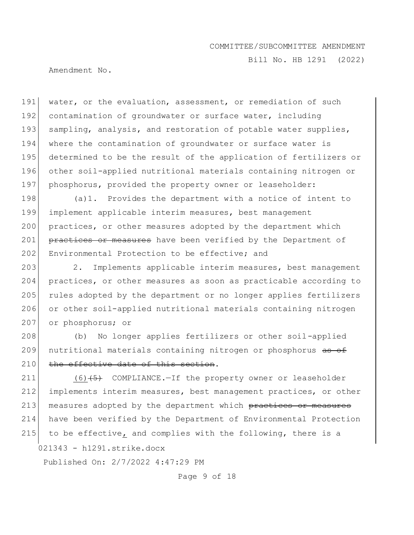Bill No. HB 1291 (2022)

Amendment No.

191 water, or the evaluation, assessment, or remediation of such 192 contamination of groundwater or surface water, including 193 sampling, analysis, and restoration of potable water supplies, 194 where the contamination of groundwater or surface water is 195 determined to be the result of the application of fertilizers or 196 other soil-applied nutritional materials containing nitrogen or 197 phosphorus, provided the property owner or leaseholder:

198 (a)1. Provides the department with a notice of intent to 199 implement applicable interim measures, best management 200 practices, or other measures adopted by the department which 201 practices or measures have been verified by the Department of 202 Environmental Protection to be effective; and

203 2. Implements applicable interim measures, best management 204 practices, or other measures as soon as practicable according to 205 rules adopted by the department or no longer applies fertilizers 206 or other soil-applied nutritional materials containing nitrogen 207 or phosphorus; or

208 (b) No longer applies fertilizers or other soil-applied 209 nutritional materials containing nitrogen or phosphorus as of 210 the effective date of this section.

021343 - h1291.strike.docx 211 (6)(5) COMPLIANCE.-If the property owner or leaseholder 212 implements interim measures, best management practices, or other 213 measures adopted by the department which practices or measures 214 have been verified by the Department of Environmental Protection 215 to be effective, and complies with the following, there is a

Published On: 2/7/2022 4:47:29 PM

Page 9 of 18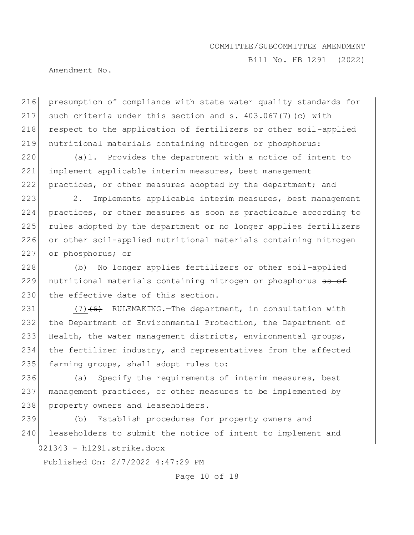Bill No. HB 1291 (2022)

Amendment No.

216 presumption of compliance with state water quality standards for 217 such criteria under this section and s.  $403.067(7)(c)$  with 218 respect to the application of fertilizers or other soil-applied 219 nutritional materials containing nitrogen or phosphorus:

 $220$  (a)1. Provides the department with a notice of intent to 221 implement applicable interim measures, best management 222 practices, or other measures adopted by the department; and

223 2. Implements applicable interim measures, best management 224 practices, or other measures as soon as practicable according to 225 rules adopted by the department or no longer applies fertilizers 226 or other soil-applied nutritional materials containing nitrogen 227 or phosphorus; or

228 (b) No longer applies fertilizers or other soil-applied 229 nutritional materials containing nitrogen or phosphorus as of 230 the effective date of this section.

231  $(7)$  (6) RULEMAKING. The department, in consultation with 232 the Department of Environmental Protection, the Department of 233 Health, the water management districts, environmental groups, 234 the fertilizer industry, and representatives from the affected 235 farming groups, shall adopt rules to:

236 (a) Specify the requirements of interim measures, best 237 management practices, or other measures to be implemented by 238 property owners and leaseholders.

021343 - h1291.strike.docx 239 (b) Establish procedures for property owners and 240 leaseholders to submit the notice of intent to implement and

Published On: 2/7/2022 4:47:29 PM

Page 10 of 18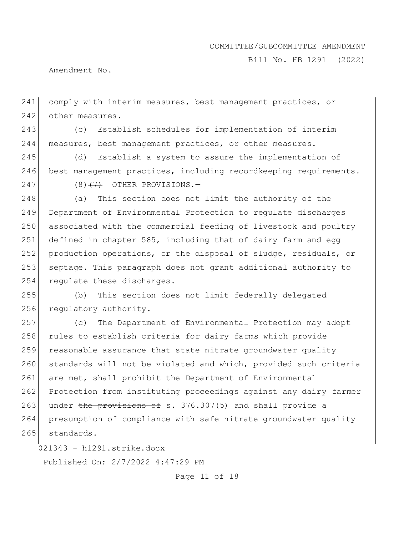Bill No. HB 1291 (2022)

Amendment No.

241 comply with interim measures, best management practices, or 242 other measures.

243 (c) Establish schedules for implementation of interim 244 measures, best management practices, or other measures.

245 (d) Establish a system to assure the implementation of 246 best management practices, including recordkeeping requirements.

 $247$  (8)<del>(7)</del> OTHER PROVISIONS.

 (a) This section does not limit the authority of the Department of Environmental Protection to regulate discharges associated with the commercial feeding of livestock and poultry 251 defined in chapter 585, including that of dairy farm and egg production operations, or the disposal of sludge, residuals, or septage. This paragraph does not grant additional authority to 254 regulate these discharges.

255 (b) This section does not limit federally delegated 256 regulatory authority.

257 (c) The Department of Environmental Protection may adopt 258 rules to establish criteria for dairy farms which provide 259 reasonable assurance that state nitrate groundwater quality 260 standards will not be violated and which, provided such criteria 261 are met, shall prohibit the Department of Environmental 262 Protection from instituting proceedings against any dairy farmer 263 under the provisions of s. 376.307(5) and shall provide a 264 presumption of compliance with safe nitrate groundwater quality 265 standards.

021343 - h1291.strike.docx

Published On: 2/7/2022 4:47:29 PM

Page 11 of 18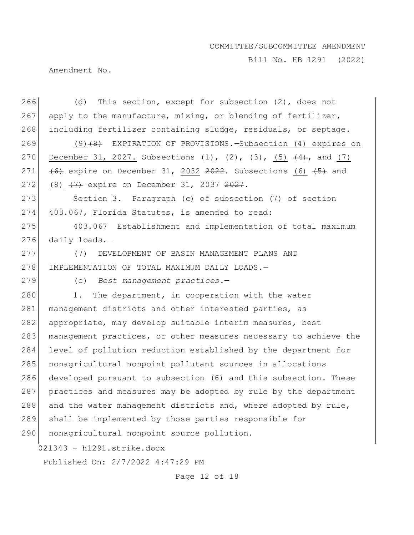Bill No. HB 1291 (2022)

Amendment No.

| 266                        | This section, except for subsection (2), does not<br>(d)                       |
|----------------------------|--------------------------------------------------------------------------------|
| 267                        | apply to the manufacture, mixing, or blending of fertilizer,                   |
| 268                        | including fertilizer containing sludge, residuals, or septage.                 |
| 269                        | $(9)$ (4) EXPIRATION OF PROVISIONS. - Subsection (4) expires on                |
| 270                        | December 31, 2027. Subsections $(1)$ , $(2)$ , $(3)$ , $(5)$ $(4)$ , and $(7)$ |
| 271                        | (6) expire on December 31, 2032 2022. Subsections (6) (5) and                  |
| 272                        | $(8)$ $(7)$ expire on December 31, 2037 <del>2027</del> .                      |
| 273                        | Section 3. Paragraph (c) of subsection (7) of section                          |
| 274                        | 403.067, Florida Statutes, is amended to read:                                 |
| 275                        | 403.067 Establishment and implementation of total maximum                      |
| 276                        | daily loads. $-$                                                               |
| 277                        | DEVELOPMENT OF BASIN MANAGEMENT PLANS AND<br>(7)                               |
| 278                        | IMPLEMENTATION OF TOTAL MAXIMUM DAILY LOADS.-                                  |
| 279                        | (c) Best management practices.-                                                |
| 280                        | The department, in cooperation with the water<br>1.                            |
| 281                        | management districts and other interested parties, as                          |
| 282                        | appropriate, may develop suitable interim measures, best                       |
| 283                        | management practices, or other measures necessary to achieve the               |
| 284                        | level of pollution reduction established by the department for                 |
| 285                        | nonagricultural nonpoint pollutant sources in allocations                      |
| 286                        | developed pursuant to subsection (6) and this subsection. These                |
| 287                        | practices and measures may be adopted by rule by the department                |
| 288                        | and the water management districts and, where adopted by rule,                 |
| 289                        | shall be implemented by those parties responsible for                          |
| 290                        | nonagricultural nonpoint source pollution.                                     |
| 021343 - h1291.strike.docx |                                                                                |
|                            | Published On: 2/7/2022 4:47:29 PM                                              |

Page 12 of 18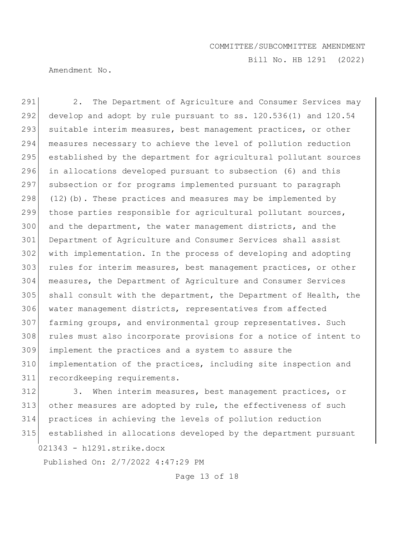Bill No. HB 1291 (2022)

Amendment No.

291 2. The Department of Agriculture and Consumer Services may 292 develop and adopt by rule pursuant to ss.  $120.536(1)$  and  $120.54$ 293 suitable interim measures, best management practices, or other measures necessary to achieve the level of pollution reduction 295 established by the department for agricultural pollutant sources in allocations developed pursuant to subsection (6) and this subsection or for programs implemented pursuant to paragraph  $(12)$  (b). These practices and measures may be implemented by those parties responsible for agricultural pollutant sources, and the department, the water management districts, and the Department of Agriculture and Consumer Services shall assist with implementation. In the process of developing and adopting 303 rules for interim measures, best management practices, or other measures, the Department of Agriculture and Consumer Services shall consult with the department, the Department of Health, the 306 water management districts, representatives from affected 307 farming groups, and environmental group representatives. Such rules must also incorporate provisions for a notice of intent to implement the practices and a system to assure the implementation of the practices, including site inspection and recordkeeping requirements.

021343 - h1291.strike.docx 312 3. When interim measures, best management practices, or 313 other measures are adopted by rule, the effectiveness of such 314 practices in achieving the levels of pollution reduction 315 established in allocations developed by the department pursuant

Published On: 2/7/2022 4:47:29 PM

Page 13 of 18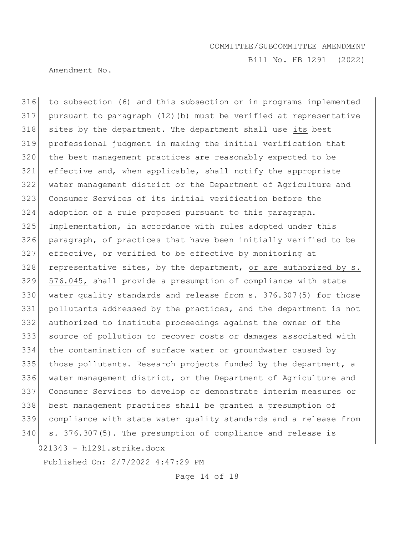Bill No. HB 1291 (2022)

Amendment No.

021343 - h1291.strike.docx to subsection (6) and this subsection or in programs implemented pursuant to paragraph (12)(b) must be verified at representative sites by the department. The department shall use its best professional judgment in making the initial verification that the best management practices are reasonably expected to be 321 effective and, when applicable, shall notify the appropriate water management district or the Department of Agriculture and Consumer Services of its initial verification before the adoption of a rule proposed pursuant to this paragraph. Implementation, in accordance with rules adopted under this paragraph, of practices that have been initially verified to be effective, or verified to be effective by monitoring at 328 representative sites, by the department, or are authorized by  $s$ . 576.045, shall provide a presumption of compliance with state water quality standards and release from s. 376.307(5) for those pollutants addressed by the practices, and the department is not authorized to institute proceedings against the owner of the source of pollution to recover costs or damages associated with the contamination of surface water or groundwater caused by 335 those pollutants. Research projects funded by the department, a water management district, or the Department of Agriculture and Consumer Services to develop or demonstrate interim measures or best management practices shall be granted a presumption of compliance with state water quality standards and a release from s. 376.307(5). The presumption of compliance and release is

Published On: 2/7/2022 4:47:29 PM

Page 14 of 18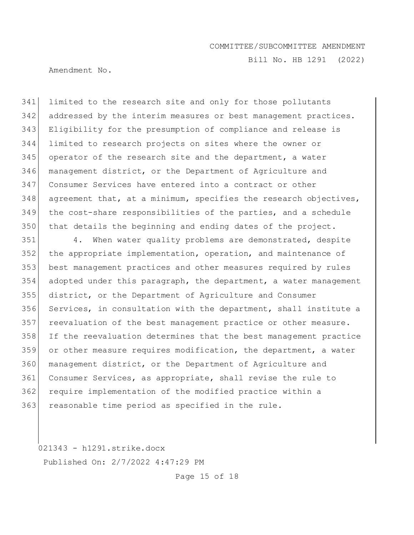Bill No. HB 1291 (2022)

Amendment No.

 limited to the research site and only for those pollutants 342 addressed by the interim measures or best management practices. Eligibility for the presumption of compliance and release is limited to research projects on sites where the owner or operator of the research site and the department, a water management district, or the Department of Agriculture and Consumer Services have entered into a contract or other agreement that, at a minimum, specifies the research objectives, the cost-share responsibilities of the parties, and a schedule that details the beginning and ending dates of the project.

351 4. When water quality problems are demonstrated, despite the appropriate implementation, operation, and maintenance of best management practices and other measures required by rules adopted under this paragraph, the department, a water management district, or the Department of Agriculture and Consumer Services, in consultation with the department, shall institute a 357 reevaluation of the best management practice or other measure. If the reevaluation determines that the best management practice or other measure requires modification, the department, a water 360 management district, or the Department of Agriculture and Consumer Services, as appropriate, shall revise the rule to require implementation of the modified practice within a 363 reasonable time period as specified in the rule.

021343 - h1291.strike.docx

Published On: 2/7/2022 4:47:29 PM

Page 15 of 18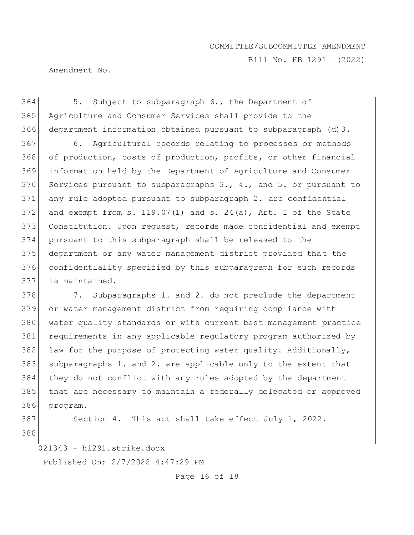Bill No. HB 1291 (2022)

Amendment No.

364 5. Subject to subparagraph 6., the Department of 365 Agriculture and Consumer Services shall provide to the 366 department information obtained pursuant to subparagraph (d)3.

 6. Agricultural records relating to processes or methods 368 of production, costs of production, profits, or other financial information held by the Department of Agriculture and Consumer 370 Services pursuant to subparagraphs  $3.$ ,  $4.$ , and  $5.$  or pursuant to 371 any rule adopted pursuant to subparagraph 2. are confidential 372 and exempt from s.  $119.07(1)$  and s.  $24(a)$ , Art. I of the State Constitution. Upon request, records made confidential and exempt pursuant to this subparagraph shall be released to the department or any water management district provided that the confidentiality specified by this subparagraph for such records is maintained.

378 7. Subparagraphs 1. and 2. do not preclude the department or water management district from requiring compliance with water quality standards or with current best management practice requirements in any applicable regulatory program authorized by 382 law for the purpose of protecting water quality. Additionally, subparagraphs 1. and 2. are applicable only to the extent that they do not conflict with any rules adopted by the department that are necessary to maintain a federally delegated or approved 386 program.

387 Section 4. This act shall take effect July 1, 2022.

388

021343 - h1291.strike.docx

Published On: 2/7/2022 4:47:29 PM

Page 16 of 18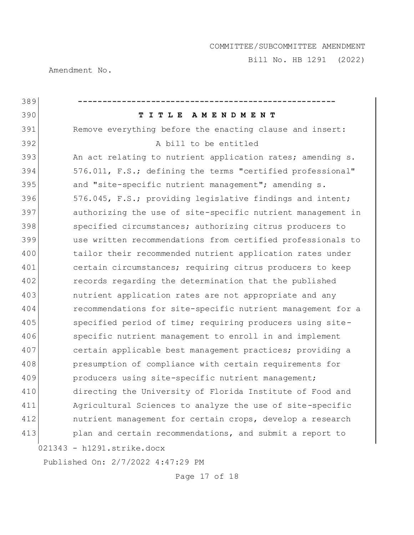Bill No. HB 1291 (2022)

Amendment No.

| 389 |                                                             |
|-----|-------------------------------------------------------------|
| 390 | TITLE AMENDMENT                                             |
| 391 | Remove everything before the enacting clause and insert:    |
| 392 | A bill to be entitled                                       |
| 393 | An act relating to nutrient application rates; amending s.  |
| 394 | 576.011, F.S.; defining the terms "certified professional"  |
| 395 | and "site-specific nutrient management"; amending s.        |
| 396 | 576.045, F.S.; providing legislative findings and intent;   |
| 397 | authorizing the use of site-specific nutrient management in |
| 398 | specified circumstances; authorizing citrus producers to    |
| 399 | use written recommendations from certified professionals to |
| 400 | tailor their recommended nutrient application rates under   |
| 401 | certain circumstances; requiring citrus producers to keep   |
| 402 | records regarding the determination that the published      |
| 403 | nutrient application rates are not appropriate and any      |
| 404 | recommendations for site-specific nutrient management for a |
| 405 | specified period of time; requiring producers using site-   |
| 406 | specific nutrient management to enroll in and implement     |
| 407 | certain applicable best management practices; providing a   |
| 408 | presumption of compliance with certain requirements for     |
| 409 | producers using site-specific nutrient management;          |
| 410 | directing the University of Florida Institute of Food and   |
| 411 | Agricultural Sciences to analyze the use of site-specific   |
| 412 | nutrient management for certain crops, develop a research   |
| 413 | plan and certain recommendations, and submit a report to    |
|     | 021343 - h1291.strike.docx                                  |

Published On: 2/7/2022 4:47:29 PM

Page 17 of 18